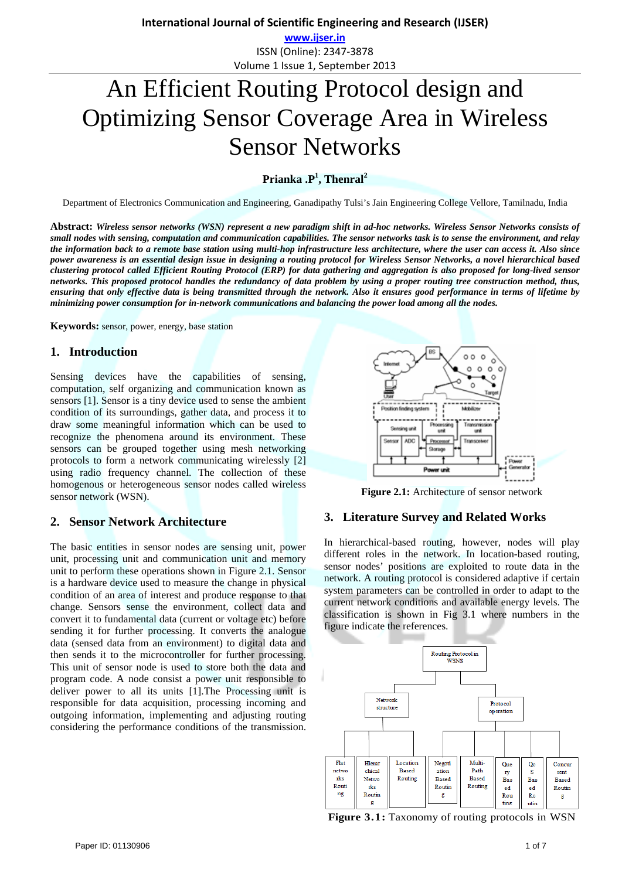**www.ijser.in** ISSN (Online): 2347‐3878 Volume 1 Issue 1, September 2013

# An Efficient Routing Protocol design and Optimizing Sensor Coverage Area in Wireless Sensor Networks

# **Prianka .P<sup>1</sup> , Thenral2**

Department of Electronics Communication and Engineering, Ganadipathy Tulsi's Jain Engineering College Vellore, Tamilnadu, India

**Abstract:** *Wireless sensor networks (WSN) represent a new paradigm shift in ad-hoc networks. Wireless Sensor Networks consists of small nodes with sensing, computation and communication capabilities. The sensor networks task is to sense the environment, and relay the information back to a remote base station using multi-hop infrastructure less architecture, where the user can access it. Also since power awareness is an essential design issue in designing a routing protocol for Wireless Sensor Networks, a novel hierarchical based clustering protocol called Efficient Routing Protocol (ERP) for data gathering and aggregation is also proposed for long-lived sensor networks. This proposed protocol handles the redundancy of data problem by using a proper routing tree construction method, thus, ensuring that only effective data is being transmitted through the network. Also it ensures good performance in terms of lifetime by minimizing power consumption for in-network communications and balancing the power load among all the nodes.* 

**Keywords:** sensor, power, energy, base station

## **1. Introduction**

Sensing devices have the capabilities of sensing, computation, self organizing and communication known as sensors [1]. Sensor is a tiny device used to sense the ambient condition of its surroundings, gather data, and process it to draw some meaningful information which can be used to recognize the phenomena around its environment. These sensors can be grouped together using mesh networking protocols to form a network communicating wirelessly [2] using radio frequency channel. The collection of these homogenous or heterogeneous sensor nodes called wireless sensor network (WSN).

# **2. Sensor Network Architecture**

The basic entities in sensor nodes are sensing unit, power unit, processing unit and communication unit and memory unit to perform these operations shown in Figure 2.1. Sensor is a hardware device used to measure the change in physical condition of an area of interest and produce response to that change. Sensors sense the environment, collect data and convert it to fundamental data (current or voltage etc) before sending it for further processing. It converts the analogue data (sensed data from an environment) to digital data and then sends it to the microcontroller for further processing. This unit of sensor node is used to store both the data and program code. A node consist a power unit responsible to deliver power to all its units [1].The Processing unit is responsible for data acquisition, processing incoming and outgoing information, implementing and adjusting routing considering the performance conditions of the transmission.



**Figure 2.1:** Architecture of sensor network

#### **3. Literature Survey and Related Works**

In hierarchical-based routing, however, nodes will play different roles in the network. In location-based routing, sensor nodes' positions are exploited to route data in the network. A routing protocol is considered adaptive if certain system parameters can be controlled in order to adapt to the current network conditions and available energy levels. The classification is shown in Fig 3.1 where numbers in the figure indicate the references.



**Figure 3.1:** Taxonomy of routing protocols in WSN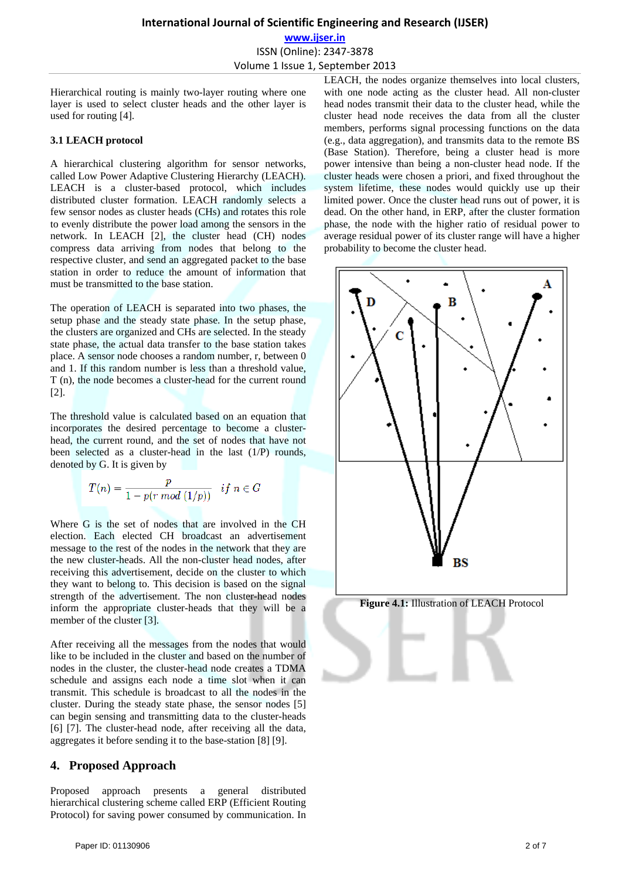**www.ijser.in** ISSN (Online): 2347‐3878 Volume 1 Issue 1, September 2013

Hierarchical routing is mainly two-layer routing where one layer is used to select cluster heads and the other layer is used for routing [4].

### **3.1 LEACH protocol**

A hierarchical clustering algorithm for sensor networks, called Low Power Adaptive Clustering Hierarchy (LEACH). LEACH is a cluster-based protocol, which includes distributed cluster formation. LEACH randomly selects a few sensor nodes as cluster heads (CHs) and rotates this role to evenly distribute the power load among the sensors in the network. In LEACH [2], the cluster head (CH) nodes compress data arriving from nodes that belong to the respective cluster, and send an aggregated packet to the base station in order to reduce the amount of information that must be transmitted to the base station.

The operation of LEACH is separated into two phases, the setup phase and the steady state phase. In the setup phase, the clusters are organized and CHs are selected. In the steady state phase, the actual data transfer to the base station takes place. A sensor node chooses a random number, r, between 0 and 1. If this random number is less than a threshold value, T (n), the node becomes a cluster-head for the current round [2].

The threshold value is calculated based on an equation that incorporates the desired percentage to become a clusterhead, the current round, and the set of nodes that have not been selected as a cluster-head in the last (1/P) rounds, denoted by G. It is given by

$$
T(n) = \frac{p}{1 - p(r \mod (1/p))} \quad if \; n \in G
$$

Where G is the set of nodes that are involved in the CH election. Each elected CH broadcast an advertisement message to the rest of the nodes in the network that they are the new cluster-heads. All the non-cluster head nodes, after receiving this advertisement, decide on the cluster to which they want to belong to. This decision is based on the signal strength of the advertisement. The non cluster-head nodes inform the appropriate cluster-heads that they will be a member of the cluster [3].

After receiving all the messages from the nodes that would like to be included in the cluster and based on the number of nodes in the cluster, the cluster-head node creates a TDMA schedule and assigns each node a time slot when it can transmit. This schedule is broadcast to all the nodes in the cluster. During the steady state phase, the sensor nodes [5] can begin sensing and transmitting data to the cluster-heads [6] [7]. The cluster-head node, after receiving all the data, aggregates it before sending it to the base-station [8] [9].

## **4. Proposed Approach**

Proposed approach presents a general distributed hierarchical clustering scheme called ERP (Efficient Routing Protocol) for saving power consumed by communication. In LEACH, the nodes organize themselves into local clusters, with one node acting as the cluster head. All non-cluster head nodes transmit their data to the cluster head, while the cluster head node receives the data from all the cluster members, performs signal processing functions on the data (e.g., data aggregation), and transmits data to the remote BS (Base Station). Therefore, being a cluster head is more power intensive than being a non-cluster head node. If the cluster heads were chosen a priori, and fixed throughout the system lifetime, these nodes would quickly use up their limited power. Once the cluster head runs out of power, it is dead. On the other hand, in ERP, after the cluster formation phase, the node with the higher ratio of residual power to average residual power of its cluster range will have a higher probability to become the cluster head.

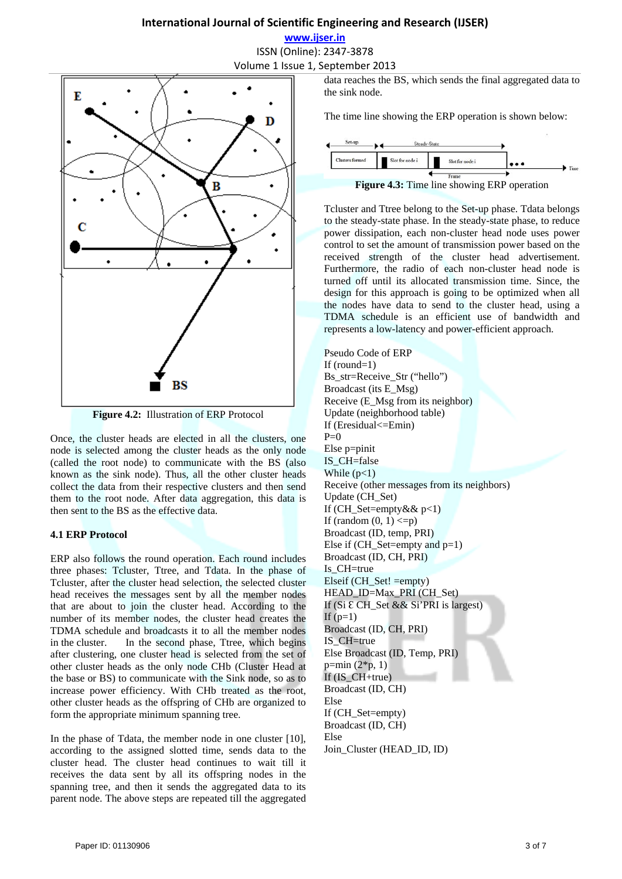**www.ijser.in** ISSN (Online): 2347‐3878 Volume 1 Issue 1, September 2013



**Figure 4.2:** Illustration of ERP Protocol

Once, the cluster heads are elected in all the clusters, one node is selected among the cluster heads as the only node (called the root node) to communicate with the BS (also known as the sink node). Thus, all the other cluster heads collect the data from their respective clusters and then send them to the root node. After data aggregation, this data is then sent to the BS as the effective data.

## **4.1 ERP Protocol**

ERP also follows the round operation. Each round includes three phases: Tcluster, Ttree, and Tdata. In the phase of Tcluster, after the cluster head selection, the selected cluster head receives the messages sent by all the member nodes that are about to join the cluster head. According to the number of its member nodes, the cluster head creates the TDMA schedule and broadcasts it to all the member nodes in the cluster. In the second phase, Ttree, which begins after clustering, one cluster head is selected from the set of other cluster heads as the only node CHb (Cluster Head at the base or BS) to communicate with the Sink node, so as to increase power efficiency. With CHb treated as the root, other cluster heads as the offspring of CHb are organized to form the appropriate minimum spanning tree.

In the phase of Tdata, the member node in one cluster [10], according to the assigned slotted time, sends data to the cluster head. The cluster head continues to wait till it receives the data sent by all its offspring nodes in the spanning tree, and then it sends the aggregated data to its parent node. The above steps are repeated till the aggregated data reaches the BS, which sends the final aggregated data to the sink node.

The time line showing the ERP operation is shown below:



Tcluster and Ttree belong to the Set-up phase. Tdata belongs to the steady-state phase. In the steady-state phase, to reduce power dissipation, each non-cluster head node uses power control to set the amount of transmission power based on the received strength of the cluster head advertisement. Furthermore, the radio of each non-cluster head node is turned off until its allocated transmission time. Since, the design for this approach is going to be optimized when all the nodes have data to send to the cluster head, using a TDMA schedule is an efficient use of bandwidth and represents a low-latency and power-efficient approach.

Pseudo Code of ERP If (round=1) Bs\_str=Receive\_Str ("hello") Broadcast (its E\_Msg) Receive (E\_Msg from its neighbor) Update (neighborhood table) If (Eresidual<=Emin)  $P=0$ Else p=pinit IS\_CH=false While  $(p<1)$ Receive (other messages from its neighbors) Update (CH\_Set) If (CH\_Set=empty &  $p<1$ ) If (random  $(0, 1) \leq p$ ) Broadcast (ID, temp, PRI) Else if (CH\_Set=empty and  $p=1$ ) Broadcast (ID, CH, PRI) Is CH=true Elseif (CH\_Set! =empty) HEAD\_ID=Max\_PRI (CH\_Set) If (Si  $\mathcal E$  CH\_Set && Si'PRI is largest) If  $(p=1)$ Broadcast (ID, CH, PRI) IS\_CH=true Else Broadcast (ID, Temp, PRI)  $p=min(2*p, 1)$ If  $(ISCH+true)$ Broadcast (ID, CH) Else If (CH\_Set=empty) Broadcast (ID, CH) Else Join Cluster (HEAD ID, ID)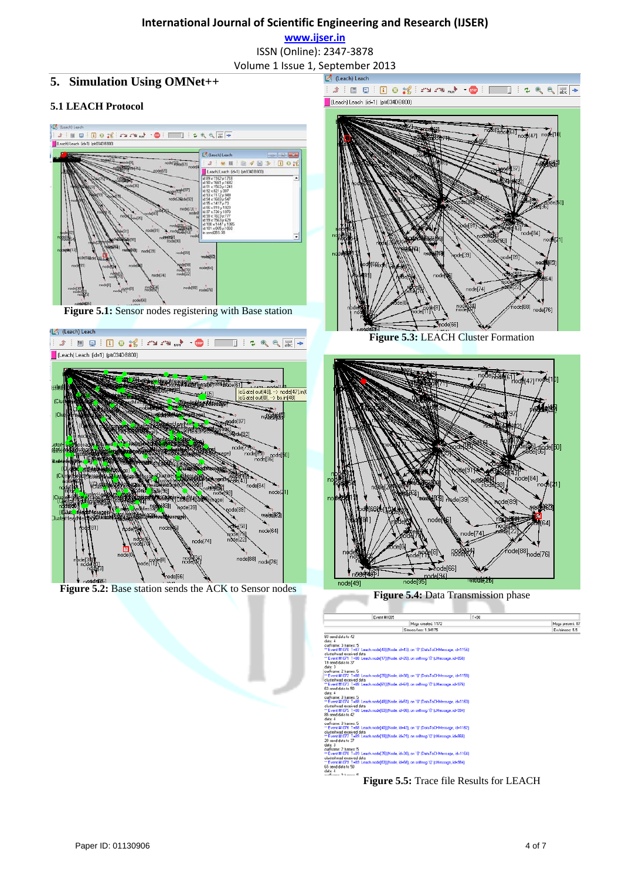**www.ijser.in**

ISSN (Online): 2347‐3878

Volume 1 Issue 1, September 2013

# **5. Simulation Using OMNet++**

## **5.1 LEACH Protocol**



**Figure 5.1:** Sensor nodes registering with Base station



**Figure 5.2:** Base station sends the ACK to Sensor nodes



Figure 5.3: LEACH Cluster Formation



**Figure 5.4:** Data Transmission phase

| Event #1095                                                                           |                     | $T = 90$ |                  |
|---------------------------------------------------------------------------------------|---------------------|----------|------------------|
|                                                                                       | Msgs created: 1172  |          | Mags present: 87 |
|                                                                                       | Simsno/sec: 1.94175 |          | Ev/simsec: 5.5   |
| 83 sand dala to 42                                                                    |                     |          |                  |
| data: 4                                                                               |                     |          |                  |
| cufframe: 3 frames: 5                                                                 |                     |          |                  |
| ** Event #1070 T=87 Leach.nodef401(Node, id=43), on '{I' (DataToCHMessage, id=1156)   |                     |          |                  |
| clusterhead received data                                                             |                     |          |                  |
| "" Event #1071 T=88 Leach.nodel171(Node, id=20), on sellmsg '{?" (cMessage, id=858)   |                     |          |                  |
| 19 send data to 37                                                                    |                     |          |                  |
| data: 3                                                                               |                     |          |                  |
| cuframe: 2 hames: 5                                                                   |                     |          |                  |
| "Event #1072 T=88 Leach node[35] (Node, id=38), on '()' (DataToCHMessage, id=1158)    |                     |          |                  |
| clusterhead received data                                                             |                     |          |                  |
| "" Event #1073 T=88 Leach.node(61) [Node, id=64), on sellinsg '{}" [cMessage, id=976] |                     |          |                  |
| 63 send data to 50                                                                    |                     |          |                  |
| data: 4                                                                               |                     |          |                  |
| cuframe: 3 hames: 5                                                                   |                     |          |                  |
| "Event #1074 T=88 Leach node(48) (Node, id=51), on '37 (DataToCHMessage, id=1160).    |                     |          |                  |
| clusterhead received data                                                             |                     |          |                  |
| "" Event #1075 T=88 Leach.nodel831(Node, id=86), on sellmsg '{?" (cMessage, id=994)   |                     |          |                  |
| 85 send data to 42                                                                    |                     |          |                  |
| data: 4                                                                               |                     |          |                  |
| cuframe: 3 hames: 5                                                                   |                     |          |                  |
| "Event #1076 T=88 Leach node[40] (Node, id=43), on '0' (DataToCHMessage, id=1162)     |                     |          |                  |
| clusterhead received data                                                             |                     |          |                  |
| "Event #1077 T=89 Leach node[18] (Node, id=21), on sellingg '{}" (cMessage, id=866)   |                     |          |                  |
| 20 send data to 37                                                                    |                     |          |                  |
| data: 3                                                                               |                     |          |                  |
| cufframe: 2 frames: 5                                                                 |                     |          |                  |
| " Event #1078 T=89 Leach.node(35) (Node. id=38), on '()' (DataToCHMessage. id=1164)   |                     |          |                  |
| clusterhead received data                                                             |                     |          |                  |
| "Event #1079 T=89 Leach node(63) (Node, id=66), on sellingg '{J' (cMessage, id=984)   |                     |          |                  |
| 65 send data to 50                                                                    |                     |          |                  |
| dala: 4                                                                               |                     |          |                  |

**Figure 5.5:** Trace file Results for LEACH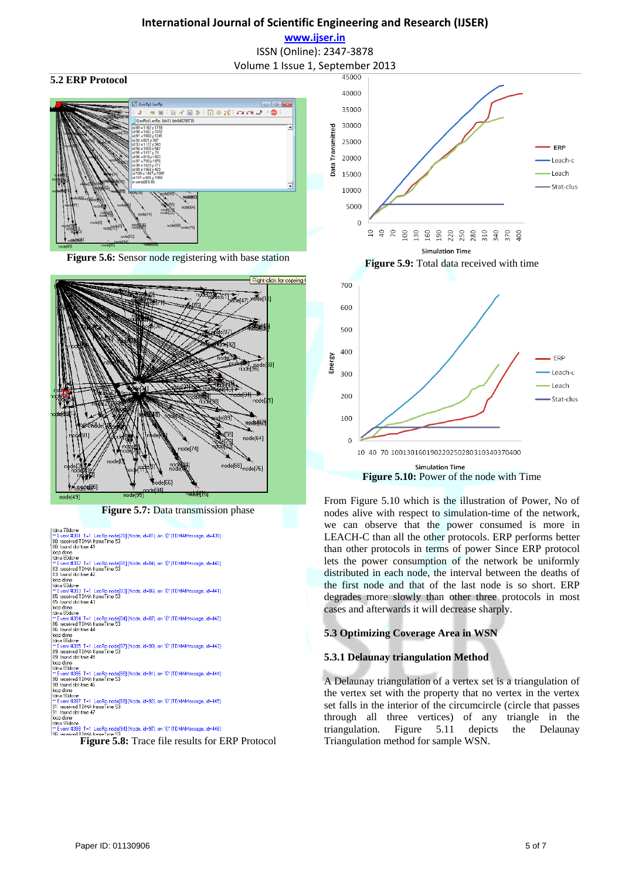**www.ijser.in** ISSN (Online): 2347‐3878

#### **5.2 ERP Protocol**



**Figure 5.6:** Sensor node registering with base station



**Figure 5.7:** Data transmission phase

ltdma 78done<br>|™ Event #391\_T⊨1\_LecRp.node[78] (Node, id=81), on `{}' (TDMAMessage, id=439)<br>|80. tecnded TDMA frameTime 53<br>|80. found slot time 41 loop done<br>|utma 80done<br>|"Event #332\_T=1\_LecRp.node[81] [Node, id=84], on '{}' [TDMAMessage, id=440]<br>|83. received TDMA frameTime 53<br>|83. found slot time 42 Box round stor<br>| loop done<br>| tdma 83done<br>| xx Event #393<br>| 05: roogiusd T |tdma 83done<br>|‴ Event #393 T=1 LecRp.node[83] [Node, id=86], on `{}' (TDMAMessage, id=441)<br>|85: received TDMA frameTime 53<br>|85: found slot time 43 95: found stortine 43<br>|dop done<br>|cop done<br>|stortine 85done<br>|≆" Event #394 T=1\_LecRp.node[84] (Node, id=87), on `{}" (TDMAMessage, id=442)<br>|96: recorded TDMA frameTime 53<br>|loop done<br>|chone 96done 1dma 86done<br>
"Event #395 T=1 LecRp.node(87] (Node, id=90), on '{}' (TDMAMessage, id=443)<br>
89: received TDMA frameTime 53<br>
89: found slot time 45<br>
loco done<br>
"Event #396 T⊨1 LecRp.node(88) (Node, id=91), on '{}' (TDMAMessa tdma 86done loop done<br>tdma 90done |loop done<br>| "Event #397 T=1\_LecRp.node[89] [Node, id=92], on `{}' [TDMAMessage, id=445]<br>|91: received TDMA frameTime 53<br>|91: found slot time 47 Figure 6.6 kme 4<sup>r</sup><br>|loop done<br>|tima 91done<br>|<sup>im</sup> Event #398 T=1 LecRp.node[94] (Node, id=97), on '{}' (TDMAMessage, id=446)<br>| SIF reneived Figure 5.8: Trace file results for ERP Protocol





**Figure 5.10:** Power of the node with Time

From Figure 5.10 which is the illustration of Power, No of nodes alive with respect to simulation-time of the network, we can observe that the power consumed is more in LEACH-C than all the other protocols. ERP performs better than other protocols in terms of power Since ERP protocol lets the power consumption of the network be uniformly distributed in each node, the interval between the deaths of the first node and that of the last node is so short. ERP degrades more slowly than other three protocols in most cases and afterwards it will decrease sharply.

#### **5.3 Optimizing Coverage Area in WSN**

#### **5.3.1 Delaunay triangulation Method**

A Delaunay triangulation of a vertex set is a triangulation of the vertex set with the property that no vertex in the vertex set falls in the interior of the circumcircle (circle that passes through all three vertices) of any triangle in the triangulation. Figure 5.11 depicts the Delaunay Triangulation method for sample WSN.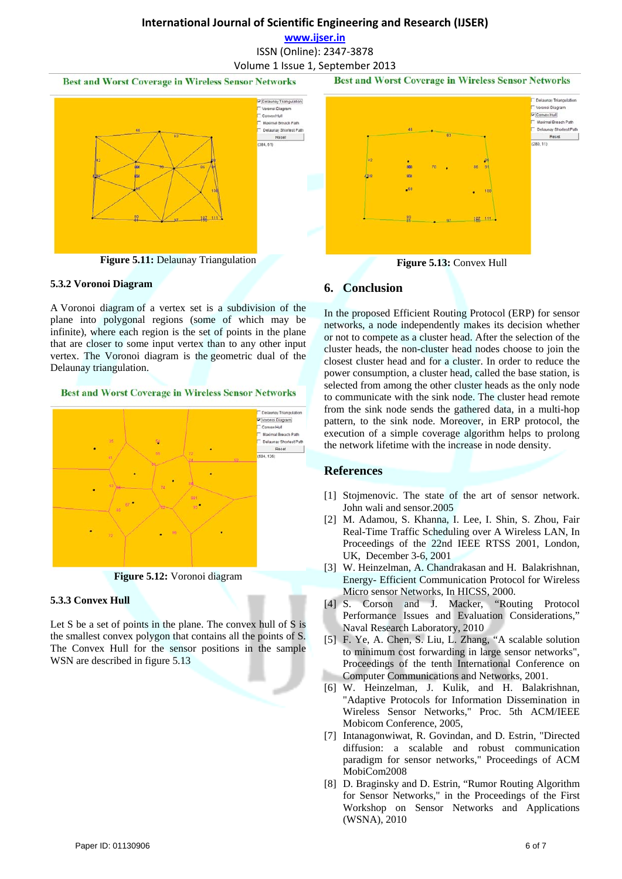**www.ijser.in**

ISSN (Online): 2347‐3878

Volume 1 Issue 1, September 2013

**Best and Worst Coverage in Wireless Sensor Networks** 



**Figure 5.11:** Delaunay Triangulation

#### **5.3.2 Voronoi Diagram**

A Voronoi diagram of a vertex set is a subdivision of the plane into polygonal regions (some of which may be infinite), where each region is the set of points in the plane that are closer to some input vertex than to any other input vertex. The Voronoi diagram is the geometric dual of the Delaunay triangulation.

#### **Best and Worst Coverage in Wireless Sensor Networks**



**Figure 5.12:** Voronoi diagram

#### **5.3.3 Convex Hull**

Let S be a set of points in the plane. The convex hull of S is the smallest convex polygon that contains all the points of S. The Convex Hull for the sensor positions in the sample WSN are described in figure 5.13



**Best and Worst Coverage in Wireless Sensor Networks** 

**Figure 5.13:** Convex Hull

## **6. Conclusion**

In the proposed Efficient Routing Protocol (ERP) for sensor networks, a node independently makes its decision whether or not to compete as a cluster head. After the selection of the cluster heads, the non-cluster head nodes choose to join the closest cluster head and for a cluster. In order to reduce the power consumption, a cluster head, called the base station, is selected from among the other cluster heads as the only node to communicate with the sink node. The cluster head remote from the sink node sends the gathered data, in a multi-hop pattern, to the sink node. Moreover, in ERP protocol, the execution of a simple coverage algorithm helps to prolong the network lifetime with the increase in node density.

## **References**

- [1] Stojmenovic. The state of the art of sensor network. John wali and sensor.2005
- [2] M. Adamou, S. Khanna, I. Lee, I. Shin, S. Zhou, Fair Real-Time Traffic Scheduling over A Wireless LAN, In Proceedings of the 22nd IEEE RTSS 2001, London, UK, December 3-6, 2001
- [3] W. Heinzelman, A. Chandrakasan and H. Balakrishnan, Energy- Efficient Communication Protocol for Wireless Micro sensor Networks, In HICSS, 2000.
- [4] S. Corson and J. Macker, "Routing Protocol Performance Issues and Evaluation Considerations," Naval Research Laboratory, 2010
- [5] F. Ye, A. Chen, S. Liu, L. Zhang, "A scalable solution to minimum cost forwarding in large sensor networks", Proceedings of the tenth International Conference on Computer Communications and Networks, 2001.
- [6] W. Heinzelman, J. Kulik, and H. Balakrishnan, "Adaptive Protocols for Information Dissemination in Wireless Sensor Networks," Proc. 5th ACM/IEEE Mobicom Conference, 2005,
- [7] Intanagonwiwat, R. Govindan, and D. Estrin, "Directed diffusion: a scalable and robust communication paradigm for sensor networks," Proceedings of ACM MobiCom2008
- [8] D. Braginsky and D. Estrin, "Rumor Routing Algorithm for Sensor Networks," in the Proceedings of the First Workshop on Sensor Networks and Applications (WSNA), 2010